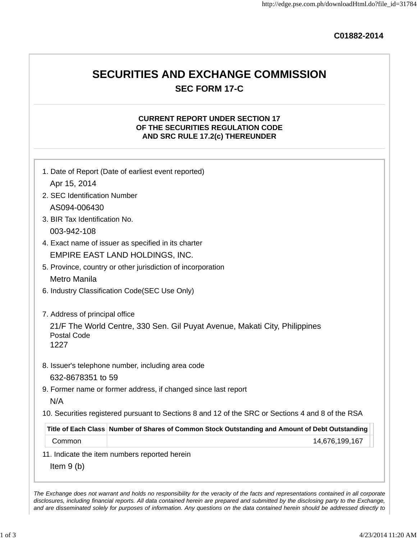**C01882-2014**

# **SECURITIES AND EXCHANGE COMMISSION SEC FORM 17-C**

## **CURRENT REPORT UNDER SECTION 17 OF THE SECURITIES REGULATION CODE AND SRC RULE 17.2(c) THEREUNDER**

|                                                      | 1. Date of Report (Date of earliest event reported)                                               |
|------------------------------------------------------|---------------------------------------------------------------------------------------------------|
| Apr 15, 2014                                         |                                                                                                   |
| 2. SEC Identification Number                         |                                                                                                   |
| AS094-006430                                         |                                                                                                   |
| 3. BIR Tax Identification No.                        |                                                                                                   |
| 003-942-108                                          |                                                                                                   |
|                                                      | 4. Exact name of issuer as specified in its charter                                               |
|                                                      | <b>EMPIRE EAST LAND HOLDINGS, INC.</b>                                                            |
|                                                      | 5. Province, country or other jurisdiction of incorporation                                       |
| Metro Manila                                         |                                                                                                   |
|                                                      | 6. Industry Classification Code(SEC Use Only)                                                     |
| 7. Address of principal office<br><b>Postal Code</b> | 21/F The World Centre, 330 Sen. Gil Puyat Avenue, Makati City, Philippines                        |
| 1227                                                 |                                                                                                   |
|                                                      | 8. Issuer's telephone number, including area code                                                 |
| 632-8678351 to 59                                    |                                                                                                   |
|                                                      | 9. Former name or former address, if changed since last report                                    |
| N/A                                                  |                                                                                                   |
|                                                      | 10. Securities registered pursuant to Sections 8 and 12 of the SRC or Sections 4 and 8 of the RSA |
|                                                      | Title of Each Class Number of Shares of Common Stock Outstanding and Amount of Debt Outstanding   |
| Common                                               | 14,676,199,167                                                                                    |
|                                                      | 11. Indicate the item numbers reported herein                                                     |
| Item $9(b)$                                          |                                                                                                   |

disclosures, including financial reports. All data contained herein are prepared and submitted by the disclosing party to the Exchange, and are disseminated solely for purposes of information. Any questions on the data contained herein should be addressed directly to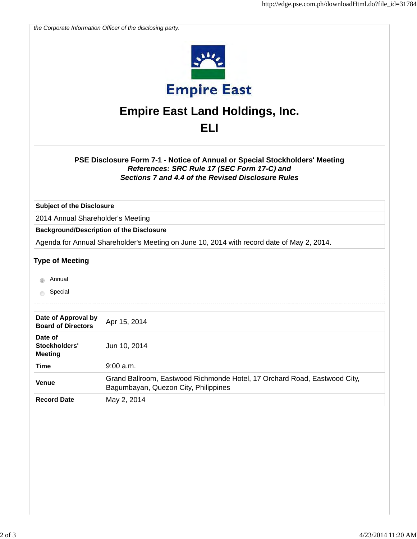|                                                                                                                                                                                  | the Corporate Information Officer of the disclosing party.                                                        |  |
|----------------------------------------------------------------------------------------------------------------------------------------------------------------------------------|-------------------------------------------------------------------------------------------------------------------|--|
|                                                                                                                                                                                  | <b>Empire East</b>                                                                                                |  |
|                                                                                                                                                                                  | <b>Empire East Land Holdings, Inc.</b>                                                                            |  |
|                                                                                                                                                                                  |                                                                                                                   |  |
|                                                                                                                                                                                  | ELI                                                                                                               |  |
| PSE Disclosure Form 7-1 - Notice of Annual or Special Stockholders' Meeting<br>References: SRC Rule 17 (SEC Form 17-C) and<br>Sections 7 and 4.4 of the Revised Disclosure Rules |                                                                                                                   |  |
| <b>Subject of the Disclosure</b>                                                                                                                                                 |                                                                                                                   |  |
| 2014 Annual Shareholder's Meeting                                                                                                                                                |                                                                                                                   |  |
|                                                                                                                                                                                  | <b>Background/Description of the Disclosure</b>                                                                   |  |
|                                                                                                                                                                                  | Agenda for Annual Shareholder's Meeting on June 10, 2014 with record date of May 2, 2014.                         |  |
| <b>Type of Meeting</b>                                                                                                                                                           |                                                                                                                   |  |
| Annual                                                                                                                                                                           |                                                                                                                   |  |
| Special                                                                                                                                                                          |                                                                                                                   |  |
|                                                                                                                                                                                  |                                                                                                                   |  |
| Date of Approval by<br><b>Board of Directors</b>                                                                                                                                 | Apr 15, 2014                                                                                                      |  |
| Date of<br>Stockholders'<br><b>Meeting</b>                                                                                                                                       | Jun 10, 2014                                                                                                      |  |
| <b>Time</b>                                                                                                                                                                      | $9:00$ a.m.                                                                                                       |  |
| Venue                                                                                                                                                                            | Grand Ballroom, Eastwood Richmonde Hotel, 17 Orchard Road, Eastwood City,<br>Bagumbayan, Quezon City, Philippines |  |
|                                                                                                                                                                                  |                                                                                                                   |  |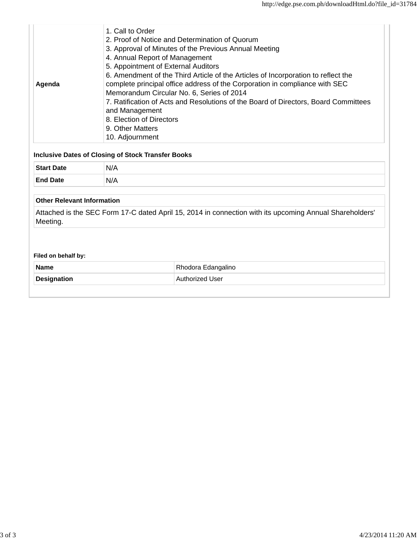| Agenda                                                   | 1. Call to Order<br>2. Proof of Notice and Determination of Quorum<br>3. Approval of Minutes of the Previous Annual Meeting<br>4. Annual Report of Management<br>5. Appointment of External Auditors<br>6. Amendment of the Third Article of the Articles of Incorporation to reflect the<br>complete principal office address of the Corporation in compliance with SEC<br>Memorandum Circular No. 6, Series of 2014<br>7. Ratification of Acts and Resolutions of the Board of Directors, Board Committees<br>and Management<br>8. Election of Directors<br>9. Other Matters<br>10. Adjournment |
|----------------------------------------------------------|---------------------------------------------------------------------------------------------------------------------------------------------------------------------------------------------------------------------------------------------------------------------------------------------------------------------------------------------------------------------------------------------------------------------------------------------------------------------------------------------------------------------------------------------------------------------------------------------------|
|                                                          | <b>Inclusive Dates of Closing of Stock Transfer Books</b>                                                                                                                                                                                                                                                                                                                                                                                                                                                                                                                                         |
| <b>Start Date</b>                                        | N/A                                                                                                                                                                                                                                                                                                                                                                                                                                                                                                                                                                                               |
| <b>End Date</b>                                          | N/A                                                                                                                                                                                                                                                                                                                                                                                                                                                                                                                                                                                               |
| <b>Other Relevant Information</b>                        |                                                                                                                                                                                                                                                                                                                                                                                                                                                                                                                                                                                                   |
| Meeting.                                                 | Attached is the SEC Form 17-C dated April 15, 2014 in connection with its upcoming Annual Shareholders'                                                                                                                                                                                                                                                                                                                                                                                                                                                                                           |
| Filed on behalf by:<br><b>Name</b><br><b>Designation</b> | Rhodora Edangalino<br>Authorized User                                                                                                                                                                                                                                                                                                                                                                                                                                                                                                                                                             |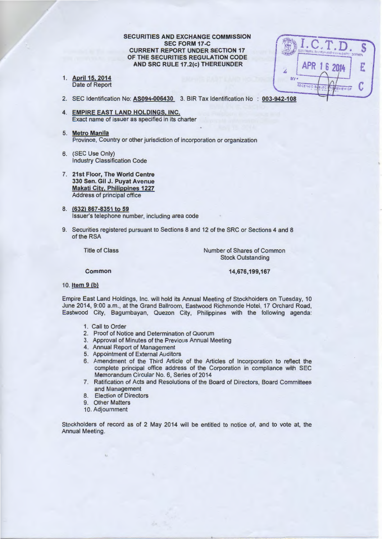**SECURITIES AND EXCHANGE COMMISSION SEC FORM 17 -C CURRENT REPORT UNDER SECTION 17 OF THE SECURITIES REGULATION CODE AND SRC RULE 17.2(c) THEREUNDER** 

1. **April15,2014**  Date of Report

APR 1 6 2014 Z BV RECEIVED

- 2. SEC Identification No: AS094-006430 3. BIR Tax Identification No : 003-942-108
- **4. EMPIRE EAST LAND HOLDINGS, INC.**  Exact name of issuer as specified in its charter
- 5. **Metro Manila**  Province, Country or other jurisdiction of incorporation or organization
- 6. (SEC Use Only) Industry Classification Code
- 7. **21st Floor, The World Centre 330 Sen. Gil J. Puyat Avenue Makati City, Philippines 1227**  Address of principal office
- 8. **(632) 867-8351 to 59**  Issuer's telephone number, including area code
- 9. Securities registered pursuant to Sections 8 and 12 of the SRC or Sections 4 and 8 of the RSA

Title of Class

Number of Shares of Common Stock Outstanding

**Common** 

**14,676,199,167** 

#### 10. **Item 9 (b)**

Empire East Land Holdings, Inc. will hold its Annual Meeting of Stockholders on Tuesday, 10 June 2014, 9:00 a.m., at the Grand Ballroom, Eastwood Richmonde Hotel, 17 Orchard Road, Eastwood City, Bagumbayan, Quezon City, Philippines with the following agenda:

- 1. Call to Order
- 2. Proof of Notice and Determination of Quorum
- 3. Approval of Minutes of the Previous Annual Meeting
- 4. Annual Report of Management
- 5. Appointment of External Auditors
- 6. Amendment of the Third Article of the Articles of Incorporation to reflect the complete principal office address of the Corporation in compliance with SEC Memorandum Circular No. 6, Series of 2014
- 7. Ratification of Acts and Resolutions of the Board of Directors, Board Committees and Management
- 8. Election of Directors
- 9. Other Matters
- 10. Adjournment

Stockholders of record as of 2 May 2014 will be entitled to notice of, and to vote at, the Annual Meeting.